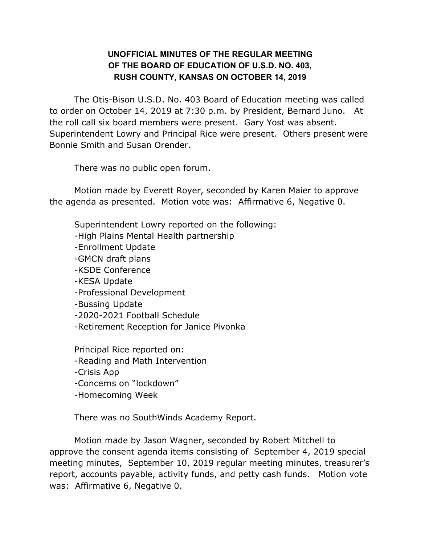## **UNOFFICIAL MINUTES OF THE REGULAR MEETING OF THE BOARD OF EDUCATION OF U.S.D. NO. 403, RUSH COUNTY, KANSAS ON OCTOBER 14, 2019**

The Otis-Bison U.S.D. No. 403 Board of Education meeting was called to order on October 14, 2019 at 7:30 p.m. by President, Bernard Juno. At the roll call six board members were present. Gary Yost was absent. Superintendent Lowry and Principal Rice were present. Others present were Bonnie Smith and Susan Orender.

There was no public open forum.

Motion made by Everett Royer, seconded by Karen Maier to approve the agenda as presented. Motion vote was: Affirmative 6, Negative 0.

Superintendent Lowry reported on the following: -High Plains Mental Health partnership -Enrollment Update -GMCN draft plans -KSDE Conference -KESA Update -Professional Development -Bussing Update -2020-2021 Football Schedule -Retirement Reception for Janice Pivonka Principal Rice reported on: -Reading and Math Intervention -Crisis App -Concerns on "lockdown"

-Homecoming Week

There was no SouthWinds Academy Report.

Motion made by Jason Wagner, seconded by Robert Mitchell to approve the consent agenda items consisting of September 4, 2019 special meeting minutes, September 10, 2019 regular meeting minutes, treasurer's report, accounts payable, activity funds, and petty cash funds. Motion vote was: Affirmative 6, Negative 0.